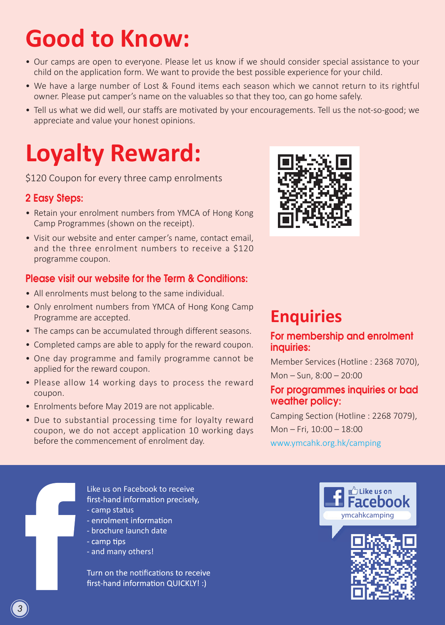# **Good to Know:**

- Our camps are open to everyone. Please let us know if we should consider special assistance to your child on the application form. We want to provide the best possible experience for your child.
- We have a large number of Lost & Found items each season which we cannot return to its rightful owner. Please put camper's name on the valuables so that they too, can go home safely.
- Tell us what we did well, our staffs are motivated by your encouragements. Tell us the not-so-good; we appreciate and value your honest opinions.

# **Loyalty Reward:**

\$120 Coupon for every three camp enrolments

## 2 Easy Steps:

- Retain your enrolment numbers from YMCA of Hong Kong Camp Programmes (shown on the receipt).
- Visit our website and enter camper's name, contact email, and the three enrolment numbers to receive a \$120 programme coupon.

## Please visit our website for the Term & Conditions:

- All enrolments must belong to the same individual.
- Only enrolment numbers from YMCA of Hong Kong Camp Programme are accepted.
- The camps can be accumulated through different seasons.
- Completed camps are able to apply for the reward coupon.
- One day programme and family programme cannot be applied for the reward coupon.
- Please allow 14 working days to process the reward coupon.
- Enrolments before May 2019 are not applicable.
- Due to substantial processing time for loyalty reward coupon, we do not accept application 10 working days before the commencement of enrolment day.



# **Enquiries**

### For membership and enrolment inquiries:

Member Services (Hotline : 2368 7070), Mon – Sun, 8:00 – 20:00

### For programmes inquiries or bad weather policy:

Camping Section (Hotline : 2268 7079), Mon – Fri, 10:00 – 18:00 www.ymcahk.org.hk/camping

Like us on Facebook to receive first-hand information precisely,

- camp status
- enrolment information
- brochure launch date
- camp tips
- and many others!

Turn on the notifications to receive first-hand information QUICKLY! :)



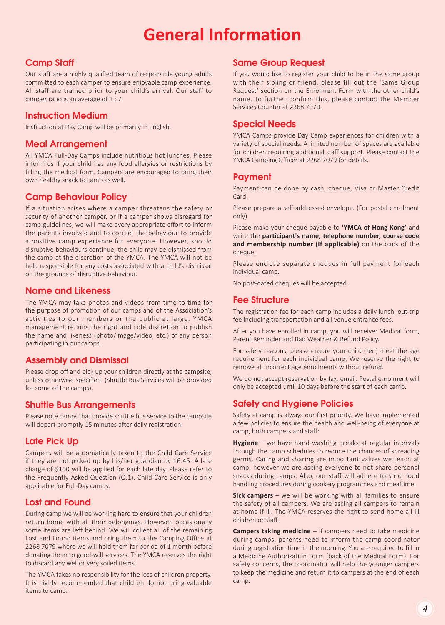# **General Information**

#### Camp Staff

Our staff are a highly qualified team of responsible young adults committed to each camper to ensure enjoyable camp experience. All staff are trained prior to your child's arrival. Our staff to camper ratio is an average of 1 : 7.

#### Instruction Medium

Instruction at Day Camp will be primarily in English.

#### Meal Arrangement

All YMCA Full-Day Camps include nutritious hot lunches. Please inform us if your child has any food allergies or restrictions by filling the medical form. Campers are encouraged to bring their own healthy snack to camp as well.

#### Camp Behaviour Policy

If a situation arises where a camper threatens the safety or security of another camper, or if a camper shows disregard for camp guidelines, we will make every appropriate effort to inform the parents involved and to correct the behaviour to provide a positive camp experience for everyone. However, should disruptive behaviours continue, the child may be dismissed from the camp at the discretion of the YMCA. The YMCA will not be held responsible for any costs associated with a child's dismissal on the grounds of disruptive behaviour.

#### Name and Likeness

The YMCA may take photos and videos from time to time for the purpose of promotion of our camps and of the Association's activities to our members or the public at large. YMCA management retains the right and sole discretion to publish the name and likeness (photo/image/video, etc.) of any person participating in our camps.

#### Assembly and Dismissal

Please drop off and pick up your children directly at the campsite, unless otherwise specified. (Shuttle Bus Services will be provided for some of the camps).

#### Shuttle Bus Arrangements

Please note camps that provide shuttle bus service to the campsite will depart promptly 15 minutes after daily registration.

#### Late Pick Up

Campers will be automatically taken to the Child Care Service if they are not picked up by his/her guardian by 16:45. A late charge of \$100 will be applied for each late day. Please refer to the Frequently Asked Question (Q.1). Child Care Service is only applicable for Full-Day camps.

#### Lost and Found

During camp we will be working hard to ensure that your children return home with all their belongings. However, occasionally some items are left behind. We will collect all of the remaining Lost and Found items and bring them to the Camping Office at 2268 7079 where we will hold them for period of 1 month before donating them to good-will services. The YMCA reserves the right to discard any wet or very soiled items.

The YMCA takes no responsibility for the loss of children property. It is highly recommended that children do not bring valuable items to camp.

#### Same Group Request

If you would like to register your child to be in the same group with their sibling or friend, please fill out the 'Same Group Request' section on the Enrolment Form with the other child's name. To further confirm this, please contact the Member Services Counter at 2368 7070.

#### Special Needs

YMCA Camps provide Day Camp experiences for children with a variety of special needs. A limited number of spaces are available for children requiring additional staff support. Please contact the YMCA Camping Officer at 2268 7079 for details.

#### Payment

Payment can be done by cash, cheque, Visa or Master Credit Card.

Please prepare a self-addressed envelope. (For postal enrolment only)

Please make your cheque payable to **'YMCA of Hong Kong'** and write the **participant's name, telephone number, course code and membership number (if applicable)** on the back of the cheque.

Please enclose separate cheques in full payment for each individual camp.

No post-dated cheques will be accepted.

#### Fee Structure

The registration fee for each camp includes a daily lunch, out-trip fee including transportation and all venue entrance fees.

After you have enrolled in camp, you will receive: Medical form, Parent Reminder and Bad Weather & Refund Policy.

For safety reasons, please ensure your child (ren) meet the age requirement for each individual camp. We reserve the right to remove all incorrect age enrollments without refund.

We do not accept reservation by fax, email. Postal enrolment will only be accepted until 10 days before the start of each camp.

#### Safety and Hygiene Policies

Safety at camp is always our first priority. We have implemented a few policies to ensure the health and well-being of everyone at camp, both campers and staff:

**Hygiene** – we have hand-washing breaks at regular intervals through the camp schedules to reduce the chances of spreading germs. Caring and sharing are important values we teach at camp, however we are asking everyone to not share personal snacks during camps. Also, our staff will adhere to strict food handling procedures during cookery programmes and mealtime.

**Sick campers** – we will be working with all families to ensure the safety of all campers. We are asking all campers to remain at home if ill. The YMCA reserves the right to send home all ill children or staff.

**Campers taking medicine** – if campers need to take medicine during camps, parents need to inform the camp coordinator during registration time in the morning. You are required to fill in a Medicine Authorization Form (back of the Medical Form). For safety concerns, the coordinator will help the younger campers to keep the medicine and return it to campers at the end of each camp.